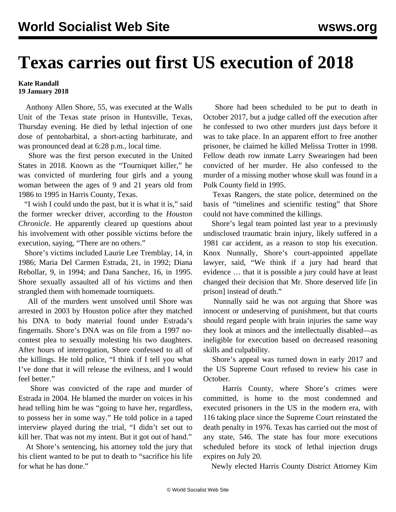## **Texas carries out first US execution of 2018**

**Kate Randall 19 January 2018**

 Anthony Allen Shore, 55, was executed at the Walls Unit of the Texas state prison in Huntsville, Texas, Thursday evening. He died by lethal injection of one dose of pentobarbital, a short-acting barbiturate, and was pronounced dead at 6:28 p.m., local time.

 Shore was the first person executed in the United States in 2018. Known as the "Tourniquet killer," he was convicted of murdering four girls and a young woman between the ages of 9 and 21 years old from 1986 to 1995 in Harris County, Texas.

 "I wish I could undo the past, but it is what it is," said the former wrecker driver, according to the *Houston Chronicle*. He apparently cleared up questions about his involvement with other possible victims before the execution, saying, "There are no others."

 Shore's victims included Laurie Lee Tremblay, 14, in 1986; Maria Del Carmen Estrada, 21, in 1992; Diana Rebollar, 9, in 1994; and Dana Sanchez, 16, in 1995. Shore sexually assaulted all of his victims and then strangled them with homemade tourniquets.

 All of the murders went unsolved until Shore was arrested in 2003 by Houston police after they matched his DNA to body material found under Estrada's fingernails. Shore's DNA was on file from a 1997 nocontest plea to sexually molesting his two daughters. After hours of interrogation, Shore confessed to all of the killings. He told police, "I think if I tell you what I've done that it will release the evilness, and I would feel better."

 Shore was convicted of the rape and murder of Estrada in 2004. He blamed the murder on voices in his head telling him he was "going to have her, regardless, to possess her in some way." He told police in a taped interview played during the trial, "I didn't set out to kill her. That was not my intent. But it got out of hand."

 At Shore's sentencing, his attorney told the jury that his client wanted to be put to death to "sacrifice his life for what he has done."

 Shore had been scheduled to be put to death in October 2017, but a judge called off the execution after he confessed to two other murders just days before it was to take place. In an apparent effort to free another prisoner, he claimed he killed Melissa Trotter in 1998. Fellow death row inmate Larry Swearingen had been convicted of her murder. He also confessed to the murder of a missing mother whose skull was found in a Polk County field in 1995.

 Texas Rangers, the state police, determined on the basis of "timelines and scientific testing" that Shore could not have committed the killings.

 Shore's legal team pointed last year to a previously undisclosed traumatic brain injury, likely suffered in a 1981 car accident, as a reason to stop his execution. Knox Nunnally, Shore's court-appointed appellate lawyer, said, "We think if a jury had heard that evidence … that it is possible a jury could have at least changed their decision that Mr. Shore deserved life [in prison] instead of death."

 Nunnally said he was not arguing that Shore was innocent or undeserving of punishment, but that courts should regard people with brain injuries the same way they look at minors and the intellectually disabled—as ineligible for execution based on decreased reasoning skills and culpability.

 Shore's appeal was turned down in early 2017 and the US Supreme Court refused to review his case in October.

 Harris County, where Shore's crimes were committed, is home to the most condemned and executed prisoners in the US in the modern era, with 116 taking place since the Supreme Court reinstated the death penalty in 1976. Texas has carried out the most of any state, 546. The state has four more executions scheduled before its stock of lethal injection drugs expires on July 20.

Newly elected Harris County District Attorney Kim